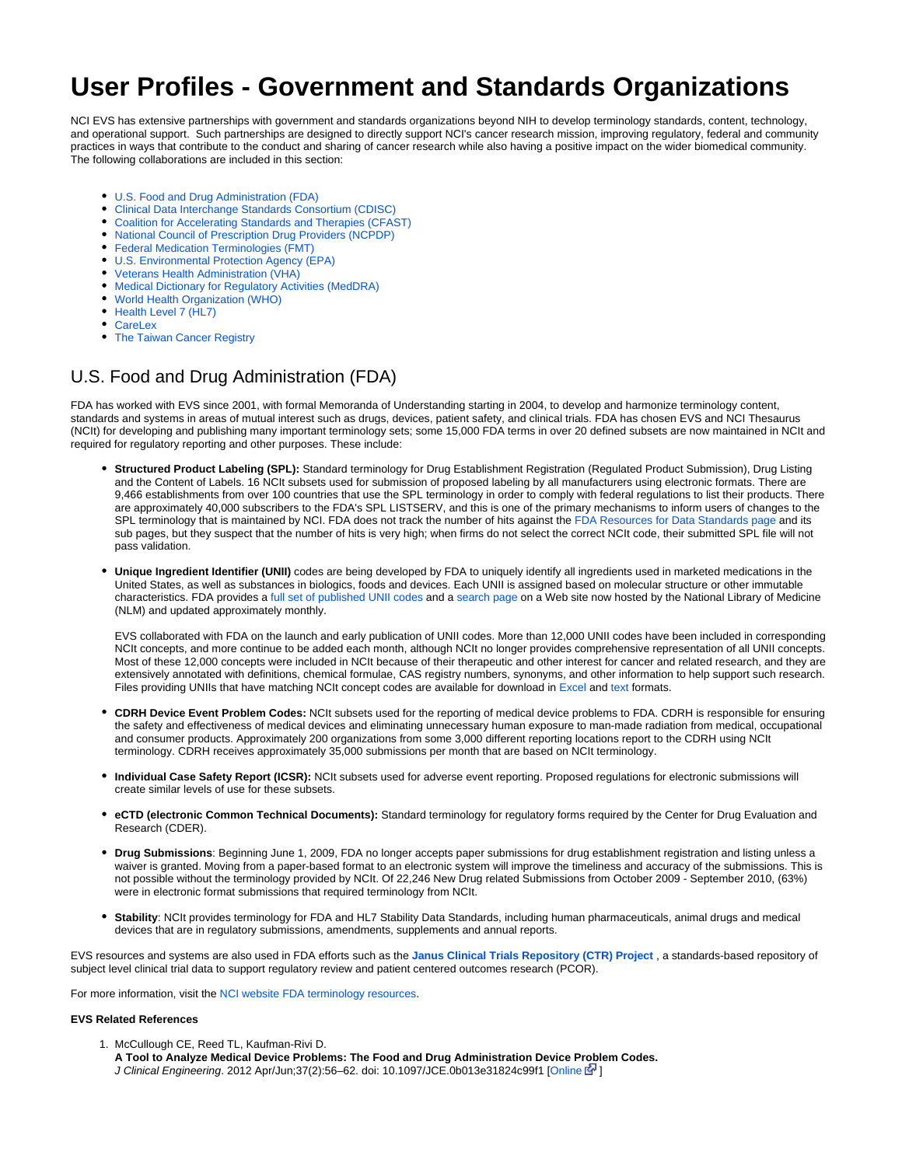# **User Profiles - Government and Standards Organizations**

NCI EVS has extensive partnerships with government and standards organizations beyond NIH to develop terminology standards, content, technology, and operational support. Such partnerships are designed to directly support NCI's cancer research mission, improving regulatory, federal and community practices in ways that contribute to the conduct and sharing of cancer research while also having a positive impact on the wider biomedical community. The following collaborations are included in this section:

- [U.S. Food and Drug Administration \(FDA\)](#page-0-0)
- [Clinical Data Interchange Standards Consortium \(CDISC\)](#page-1-0)
- [Coalition for Accelerating Standards and Therapies \(CFAST\)](#page-2-0)
- [National Council of Prescription Drug Providers \(NCPDP\)](#page-2-1)
- [Federal Medication Terminologies \(FMT\)](#page-2-2)
- [U.S. Environmental Protection Agency \(EPA\)](#page-3-0)
- [Veterans Health Administration \(VHA\)](#page-3-1)
- [Medical Dictionary for Regulatory Activities \(MedDRA\)](#page-3-2)
- [World Health Organization \(WHO\)](#page-3-3)
- [Health Level 7 \(HL7\)](#page-3-4)
- [CareLex](#page-3-5)
- [The Taiwan Cancer Registry](#page-4-0)

## <span id="page-0-0"></span>U.S. Food and Drug Administration (FDA)

FDA has worked with EVS since 2001, with formal Memoranda of Understanding starting in 2004, to develop and harmonize terminology content, standards and systems in areas of mutual interest such as drugs, devices, patient safety, and clinical trials. FDA has chosen EVS and NCI Thesaurus (NCIt) for developing and publishing many important terminology sets; some 15,000 FDA terms in over 20 defined subsets are now maintained in NCIt and required for regulatory reporting and other purposes. These include:

- **Structured Product Labeling (SPL):** Standard terminology for Drug Establishment Registration (Regulated Product Submission), Drug Listing and the Content of Labels. 16 NCIt subsets used for submission of proposed labeling by all manufacturers using electronic formats. There are 9,466 establishments from over 100 countries that use the SPL terminology in order to comply with federal regulations to list their products. There are approximately 40,000 subscribers to the FDA's SPL LISTSERV, and this is one of the primary mechanisms to inform users of changes to the SPL terminology that is maintained by NCI. FDA does not track the number of hits against the [FDA Resources for Data Standards page](http://www.fda.gov/ForIndustry/DataStandards/default.htm) and its sub pages, but they suspect that the number of hits is very high; when firms do not select the correct NCIt code, their submitted SPL file will not pass validation.
- **Unique Ingredient Identifier (UNII)** codes are being developed by FDA to uniquely identify all ingredients used in marketed medications in the United States, as well as substances in biologics, foods and devices. Each UNII is assigned based on molecular structure or other immutable characteristics. FDA provides a [full set of published UNII codes](http://fdasis.nlm.nih.gov/srs/jsp/srs/uniiListDownload.jsp) and a [search page](http://fdasis.nlm.nih.gov/srs/srs.jsp) on a Web site now hosted by the National Library of Medicine (NLM) and updated approximately monthly.

EVS collaborated with FDA on the launch and early publication of UNII codes. More than 12,000 UNII codes have been included in corresponding NCIt concepts, and more continue to be added each month, although NCIt no longer provides comprehensive representation of all UNII concepts. Most of these 12,000 concepts were included in NCIt because of their therapeutic and other interest for cancer and related research, and they are extensively annotated with definitions, chemical formulae, CAS registry numbers, synonyms, and other information to help support such research. Files providing UNIIs that have matching NCIt concept codes are available for download in [Excel](http://evs.nci.nih.gov/ftp1/FDA/UNII/FDA-UNII_NCIt_Subsets.xls) and [text](http://evs.nci.nih.gov/ftp1/FDA/UNII/FDA-UNII_NCIt_Subsets.txt) formats.

- **CDRH Device Event Problem Codes:** NCIt subsets used for the reporting of medical device problems to FDA. CDRH is responsible for ensuring the safety and effectiveness of medical devices and eliminating unnecessary human exposure to man-made radiation from medical, occupational and consumer products. Approximately 200 organizations from some 3,000 different reporting locations report to the CDRH using NCIt terminology. CDRH receives approximately 35,000 submissions per month that are based on NCIt terminology.
- **Individual Case Safety Report (ICSR):** NCIt subsets used for adverse event reporting. Proposed regulations for electronic submissions will create similar levels of use for these subsets.
- **eCTD (electronic Common Technical Documents):** Standard terminology for regulatory forms required by the Center for Drug Evaluation and Research (CDER).
- **Drug Submissions**: Beginning June 1, 2009, FDA no longer accepts paper submissions for drug establishment registration and listing unless a waiver is granted. Moving from a paper-based format to an electronic system will improve the timeliness and accuracy of the submissions. This is not possible without the terminology provided by NCIt. Of 22,246 New Drug related Submissions from October 2009 - September 2010, (63%) were in electronic format submissions that required terminology from NCIt.
- **Stability**: NCIt provides terminology for FDA and HL7 Stability Data Standards, including human pharmaceuticals, animal drugs and medical devices that are in regulatory submissions, amendments, supplements and annual reports.

EVS resources and systems are also used in FDA efforts such as the **[Janus Clinical Trials Repository \(CTR\) Project](http://www.fda.gov/ForIndustry/DataStandards/StudyDataStandards/ucm155327.htm)** , a standards-based repository of subject level clinical trial data to support regulatory review and patient centered outcomes research (PCOR).

For more information, visit the [NCI website FDA terminology resources.](http://www.cancer.gov/cancertopics/cancerlibrary/terminologyresources/FDA)

#### **EVS Related References**

1. McCullough CE, Reed TL, Kaufman-Rivi D. **A Tool to Analyze Medical Device Problems: The Food and Drug Administration Device Problem Codes.** J Clinical Engineering. 2012 Apr/Jun;37(2):56–62. doi: 10.1097/JCE.0b013e31824c99f1 [[Online](http://journals.lww.com/jcejournal/Abstract/2012/04000/A_Tool_to_Analyze_Medical_Device_Problems__The.17.aspx) [\]](http://www.cancer.gov/policies/linking)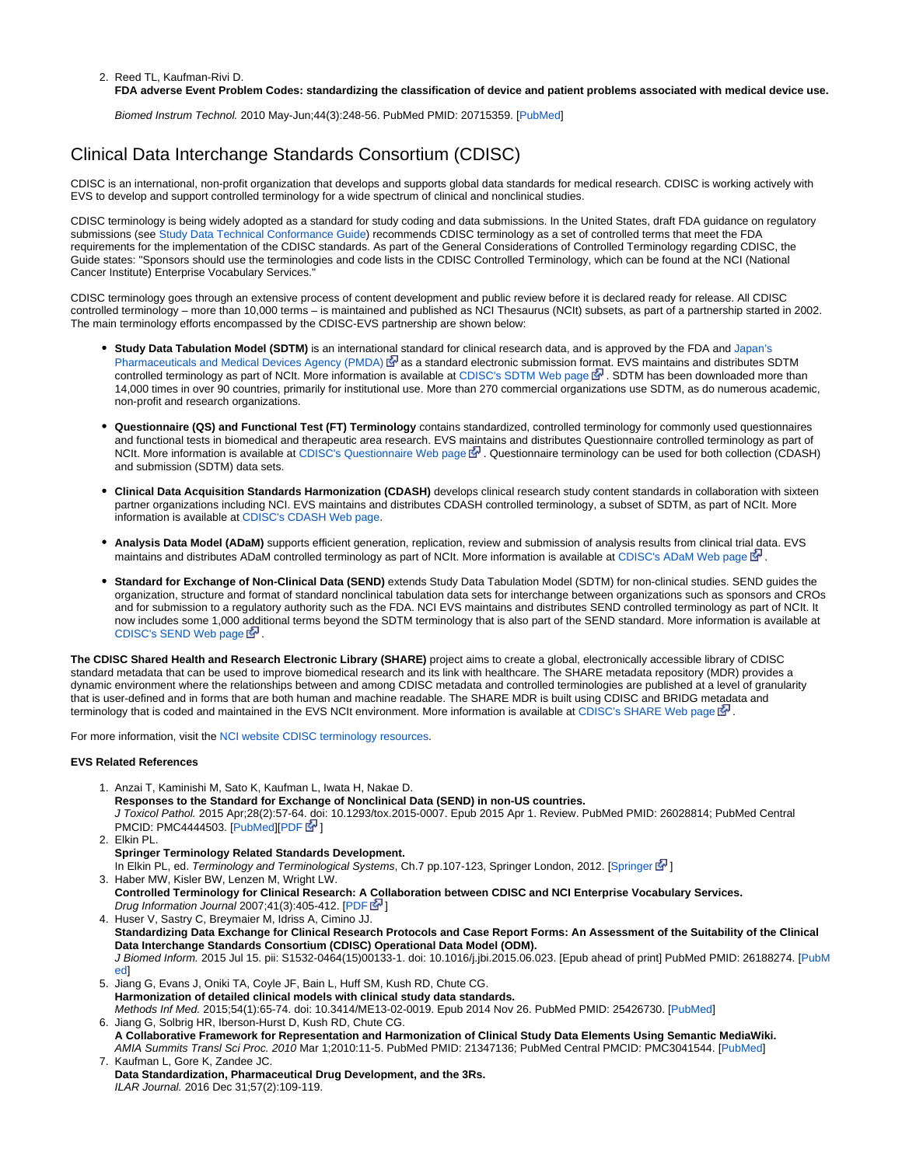#### 2. Reed TL, Kaufman-Rivi D.

#### **FDA adverse Event Problem Codes: standardizing the classification of device and patient problems associated with medical device use.**

Biomed Instrum Technol. 2010 May-Jun;44(3):248-56. PubMed PMID: 20715359. [[PubMed\]](http://www.ncbi.nlm.nih.gov/pubmed/20715359)

### <span id="page-1-0"></span>Clinical Data Interchange Standards Consortium (CDISC)

CDISC is an international, non-profit organization that develops and supports global data standards for medical research. CDISC is working actively with EVS to develop and support controlled terminology for a wide spectrum of clinical and nonclinical studies.

CDISC terminology is being widely adopted as a standard for study coding and data submissions. In the United States, draft FDA guidance on regulatory submissions (see [Study Data Technical Conformance Guide\)](http://www.fda.gov/downloads/ForIndustry/DataStandards/StudyDataStandards/UCM384744.pdf) recommends CDISC terminology as a set of controlled terms that meet the FDA requirements for the implementation of the CDISC standards. As part of the General Considerations of Controlled Terminology regarding CDISC, the Guide states: "Sponsors should use the terminologies and code lists in the CDISC Controlled Terminology, which can be found at the NCI (National Cancer Institute) Enterprise Vocabulary Services."

CDISC terminology goes through an extensive process of content development and public review before it is declared ready for release. All CDISC controlled terminology – more than 10,000 terms – is maintained and published as NCI Thesaurus (NCIt) subsets, as part of a partnership started in 2002. The main terminology efforts encompassed by the CDISC-EVS partnership are shown below:

- **Study Data Tabulation Model (SDTM)** is an internatio[nal](http://www.cancer.gov/policies/linking) standard for clinical research data, and is approved by the FDA and [Japan's](http://www.pmda.go.jp/english/)  [Pharmaceuticals and Medical Devices Agency \(PMDA\)](http://www.pmda.go.jp/english/) & as a standard electronic submission format. EVS maintains and distributes SDTM controlled terminology as part of NCIt. More information is available at [CDISC's SDTM Web page](http://www.cdisc.org/sdtm)  $\mathbb{F}$ [.](http://www.cancer.gov/policies/linking) SDTM has been downloaded more than 14,000 times in over 90 countries, primarily for institutional use. More than 270 commercial organizations use SDTM, as do numerous academic, non-profit and research organizations.
- **Questionnaire (QS) and Functional Test (FT) Terminology** contains standardized, controlled terminology for commonly used questionnaires and functional tests in biomedical and therapeutic area research. EVS m[ain](http://www.cancer.gov/policies/linking)tains and distributes Questionnaire controlled terminology as part of NCIt. More information is available at [CDISC's Questionnaire Web page](http://www.cdisc.org/content2909) 【 Questionnaire terminology can be used for both collection (CDASH) and submission (SDTM) data sets.
- **Clinical Data Acquisition Standards Harmonization (CDASH)** develops clinical research study content standards in collaboration with sixteen partner organizations including NCI. EVS maintains and distributes CDASH controlled terminology, a subset of SDTM, as part of NCIt. More information is available at [CDISC's CDASH Web page.](http://www.cdisc.org/cdash)
- **Analysis Data Model (ADaM)** supports efficient generation, replication, review and submission of analysis results from clinical trial data. EVS maintains and distributes ADaM controlled terminology as part of NCIt. More information is available at [CDISC's ADaM Web page](http://www.cdisc.org/adam)  $\mathbb{S}^1$ .
- **Standard for Exchange of Non-Clinical Data (SEND)** extends Study Data Tabulation Model (SDTM) for non-clinical studies. SEND guides the organization, structure and format of standard nonclinical tabulation data sets for interchange between organizations such as sponsors and CROs and for submission to a regulatory authority such as the FDA. NCI EVS maintains and distributes SEND controlled terminology as part of NCIt. It now includes some 1,000 additional terms beyond the SDTM terminology that is also part of the SEND standard. More information is available at [CDISC's SEND Web page](http://www.cdisc.org/send)  $\mathbb{F}$ .

**The CDISC Shared Health and Research Electronic Library (SHARE)** project aims to create a global, electronically accessible library of CDISC standard metadata that can be used to improve biomedical research and its link with healthcare. The SHARE metadata repository (MDR) provides a dynamic environment where the relationships between and among CDISC metadata and controlled terminologies are published at a level of granularity that is user-defined and in forms that are both human and machine readable. The SHARE MDR is built using CDISC and BRIDG metadata and terminology that is coded and maintained in the EVS NCIt environment. More information is available at [CDISC's SHARE Web page](http://www.cdisc.org/cdisc-share)  $\mathbb{F}$ .

For more information, visit the [NCI website CDISC terminology resources](http://www.cancer.gov/cancertopics/cancerlibrary/terminologyresources/CDISC).

#### **EVS Related References**

- 1. Anzai T, Kaminishi M, Sato K, Kaufman L, Iwata H, Nakae D. **Responses to the Standard for Exchange of Nonclinical Data (SEND) in non-US countries.** J Toxicol Pathol. 2015 Apr;28(2):57-64. doi: 10.1293/tox.2015-0007. Epub 2015 Apr 1. Review. PubMed PMID: 26028814; PubMed Central PMCID: PMC4444503. [\[PubMed](http://www.ncbi.nlm.nih.gov/pubmed/26028814)][[PDF](http://www.pdslifesciences.com/Userfiles/Docs/PDS_SEND-non-US-WP_VF-4-2-15.pdf) ? ]
- 2. Elkin PL.
- 3. Haber MW, Kisler BW, Lenzen M, Wright LW. **Springer Terminology Related Standards Development.** In Elkin PL, ed. Terminology and Terminological Systems, Ch.7 pp.107-123, [Springer](http://dx.doi.org/10.1007/978-1-4471-2816-8_7) London, 2012. [Springer  $\mathbb{F}$ [\]](http://www.cancer.gov/policies/linking) **Controlled Terminology for Clinical Research: A Collaboration between CDISC and NCI Enterprise Vocabulary Services.**
- 4. Huser V, Sastry C, Breymaier M, Idriss A, Cimino JJ. Drug Information Journal 2007;41(3):405-412. [[PDF](http://www.cdisc.org/system/files/all/reference_material/application/pdf/diaj_terminology.pdf)  $\mathbb{F}$ ] **Standardizing Data Exchange for Clinical Research Protocols and Case Report Forms: An Assessment of the Suitability of the Clinical Data Interchange Standards Consortium (CDISC) Operational Data Model (ODM).** J Biomed Inform. 2015 Jul 15. pii: S1532-0464(15)00133-1. doi: 10.1016/j.jbi.2015.06.023. [Epub ahead of print] PubMed PMID: 26188274. [\[PubM](http://www.ncbi.nlm.nih.gov/pubmed/26188274) [ed](http://www.ncbi.nlm.nih.gov/pubmed/26188274)]
- 5. Jiang G, Evans J, Oniki TA, Coyle JF, Bain L, Huff SM, Kush RD, Chute CG. **Harmonization of detailed clinical models with clinical study data standards.** Methods Inf Med. 2015;54(1):65-74. doi: 10.3414/ME13-02-0019. Epub 2014 Nov 26. PubMed PMID: 25426730. [[PubMed\]](http://www.ncbi.nlm.nih.gov/pubmed/25426730)
- 6. Jiang G, Solbrig HR, Iberson-Hurst D, Kush RD, Chute CG. **A Collaborative Framework for Representation and Harmonization of Clinical Study Data Elements Using Semantic MediaWiki.** AMIA Summits Transl Sci Proc. 2010 Mar 1;2010:11-5. PubMed PMID: 21347136; PubMed Central PMCID: PMC3041544. [[PubMed\]](http://www.ncbi.nlm.nih.gov/pubmed/21347136)
- 7. Kaufman L, Gore K, Zandee JC. **Data Standardization, Pharmaceutical Drug Development, and the 3Rs.** ILAR Journal. 2016 Dec 31;57(2):109-119.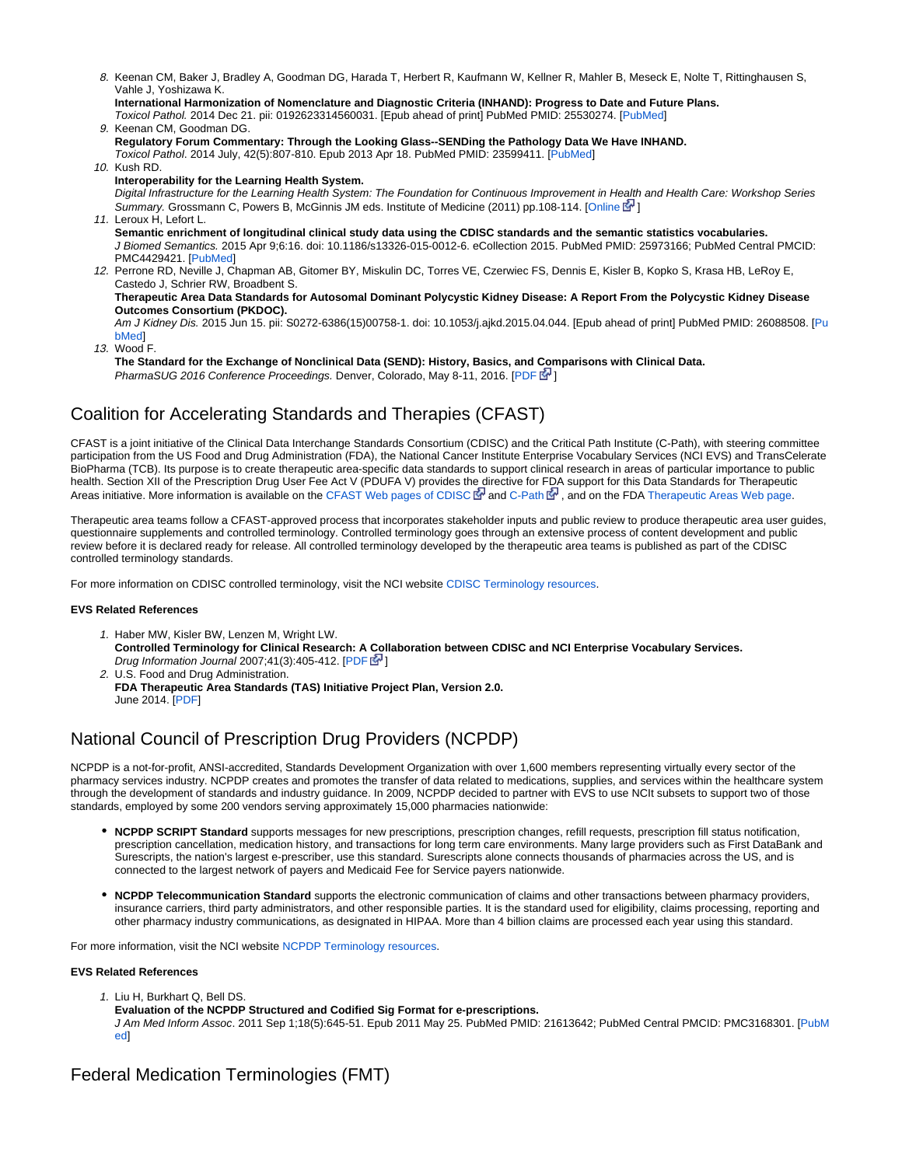8. Keenan CM, Baker J, Bradley A, Goodman DG, Harada T, Herbert R, Kaufmann W, Kellner R, Mahler B, Meseck E, Nolte T, Rittinghausen S, Vahle J, Yoshizawa K.

```
International Harmonization of Nomenclature and Diagnostic Criteria (INHAND): Progress to Date and Future Plans.
Toxicol Pathol. 2014 Dec 21. pii: 0192623314560031. [Epub ahead of print] PubMed PMID: 25530274. [PubMed]
```
9. Keenan CM, Goodman DG. 10. Kush RD. **Regulatory Forum Commentary: Through the Looking Glass--SENDing the Pathology Data We Have INHAND.** Toxicol Pathol. 2014 July, 42(5):807-810. Epub 2013 Apr 18. PubMed PMID: 23599411. [[PubMed\]](http://www.ncbi.nlm.nih.gov/pubmed/23599411)

- **Interoperability for the Learning Health System.** Digital Infrastructure for the Learning Health System: The Foundation for Continuous Improvement in Health and Health Care: Workshop Series Summary. Grossmann C. Powers B. McGinnis JM eds. Institute of Medicine (2011) pp.108-114. [\[Online](http://books.nap.edu/openbook.php?record_id=12912&page=108)  $\mathbb{F}^1$ [\]](http://www.cancer.gov/policies/linking)
- 11. Leroux H, Lefort L. **Semantic enrichment of longitudinal clinical study data using the CDISC standards and the semantic statistics vocabularies.** J Biomed Semantics. 2015 Apr 9;6:16. doi: 10.1186/s13326-015-0012-6. eCollection 2015. PubMed PMID: 25973166; PubMed Central PMCID: PMC4429421. [\[PubMed](http://www.ncbi.nlm.nih.gov/pubmed/25973166)]
- 12. Perrone RD, Neville J, Chapman AB, Gitomer BY, Miskulin DC, Torres VE, Czerwiec FS, Dennis E, Kisler B, Kopko S, Krasa HB, LeRoy E, Castedo J, Schrier RW, Broadbent S. **Therapeutic Area Data Standards for Autosomal Dominant Polycystic Kidney Disease: A Report From the Polycystic Kidney Disease Outcomes Consortium (PKDOC).** Am J Kidney Dis. 2015 Jun 15. pii: S0272-6386(15)00758-1. doi: 10.1053/j.ajkd.2015.04.044. [Epub ahead of print] PubMed PMID: 26088508. [\[Pu](http://www.ncbi.nlm.nih.gov/pubmed/26088508) [bMed\]](http://www.ncbi.nlm.nih.gov/pubmed/26088508)
- 13. Wood F.
	- **The Standard for the Exchange of Nonclinical Data (SEND): History, Basics, and Comparisons with Clinical Data.** PharmaSUG 2016 Conference Proceedings. Denver, Colorado, May 8-11, 2016. [\[PDF](http://www.pharmasug.org/proceedings/2016/SS/PharmaSUG-2016-SS13.pdf) & ]

## <span id="page-2-0"></span>Coalition for Accelerating Standards and Therapies (CFAST)

CFAST is a joint initiative of the Clinical Data Interchange Standards Consortium (CDISC) and the Critical Path Institute (C-Path), with steering committee participation from the US Food and Drug Administration (FDA), the National Cancer Institute Enterprise Vocabulary Services (NCI EVS) and TransCelerate BioPharma (TCB). Its purpose is to create therapeutic area-specific data standards to support clinical research in areas of particular importance to public health. Section XII of the Prescription Drug User Fee Act V (PDUFA V) provides the directive for FDA support for this Data Standards for Therapeutic Areas initiative. More information is available on the [CFAST Web pages of CDISC](http://www.cdisc.org/cfast-0)  $\bar{\mathbb{F}}$  and [C-Path](http://c-path.org/programs/cfast/)  $\bar{\mathbb{F}}$ , and on the FDA [Therapeutic Areas Web page.](http://www.fda.gov/drugs/developmentapprovalprocess/formssubmissionrequirements/electronicsubmissions/ucm287408.htm)

Therapeutic area teams follow a CFAST-approved process that incorporates stakeholder inputs and public review to produce therapeutic area user guides, questionnaire supplements and controlled terminology. Controlled terminology goes through an extensive process of content development and public review before it is declared ready for release. All controlled terminology developed by the therapeutic area teams is published as part of the CDISC controlled terminology standards.

For more information on CDISC controlled terminology, visit the NCI website [CDISC Terminology resources.](http://www.cancer.gov/cancertopics/cancerlibrary/terminologyresources/CDISC)

#### **EVS Related References**

- 1. Haber MW, Kisler BW, Lenzen M, Wright LW. **Controlled Terminology for Clinical Research: A [Co](http://www.cancer.gov/policies/linking)llaboration between CDISC and NCI Enterprise Vocabulary Services.** Drug Information Journal 2007;41(3):405-412.  $[PDF]$  $[PDF]$  $[PDF]$
- 2. U.S. Food and Drug Administration. **FDA Therapeutic Area Standards (TAS) Initiative Project Plan, Version 2.0.** June 2014. [\[PDF](http://www.fda.gov/downloads/Drugs/DevelopmentApprovalProcess/FormsSubmissionRequirements/ElectronicSubmissions/UCM371691.pdf)]

# <span id="page-2-1"></span>National Council of Prescription Drug Providers (NCPDP)

NCPDP is a not-for-profit, ANSI-accredited, Standards Development Organization with over 1,600 members representing virtually every sector of the pharmacy services industry. NCPDP creates and promotes the transfer of data related to medications, supplies, and services within the healthcare system through the development of standards and industry guidance. In 2009, NCPDP decided to partner with EVS to use NCIt subsets to support two of those standards, employed by some 200 vendors serving approximately 15,000 pharmacies nationwide:

- **NCPDP SCRIPT Standard** supports messages for new prescriptions, prescription changes, refill requests, prescription fill status notification, prescription cancellation, medication history, and transactions for long term care environments. Many large providers such as First DataBank and Surescripts, the nation's largest e-prescriber, use this standard. Surescripts alone connects thousands of pharmacies across the US, and is connected to the largest network of payers and Medicaid Fee for Service payers nationwide.
- **NCPDP Telecommunication Standard** supports the electronic communication of claims and other transactions between pharmacy providers, insurance carriers, third party administrators, and other responsible parties. It is the standard used for eligibility, claims processing, reporting and other pharmacy industry communications, as designated in HIPAA. More than 4 billion claims are processed each year using this standard.

For more information, visit the NCI website [NCPDP Terminology resources](http://www.cancer.gov/cancertopics/cancerlibrary/terminologyresources/ncpdp).

#### **EVS Related References**

- 1. Liu H, Burkhart Q, Bell DS.
- **Evaluation of the NCPDP Structured and Codified Sig Format for e-prescriptions.**

J Am Med Inform Assoc. 2011 Sep 1;18(5):645-51. Epub 2011 May 25. PubMed PMID: 21613642; PubMed Central PMCID: PMC3168301. [[PubM](http://www.ncbi.nlm.nih.gov/pubmed/21613642) [ed](http://www.ncbi.nlm.nih.gov/pubmed/21613642)]

## <span id="page-2-2"></span>Federal Medication Terminologies (FMT)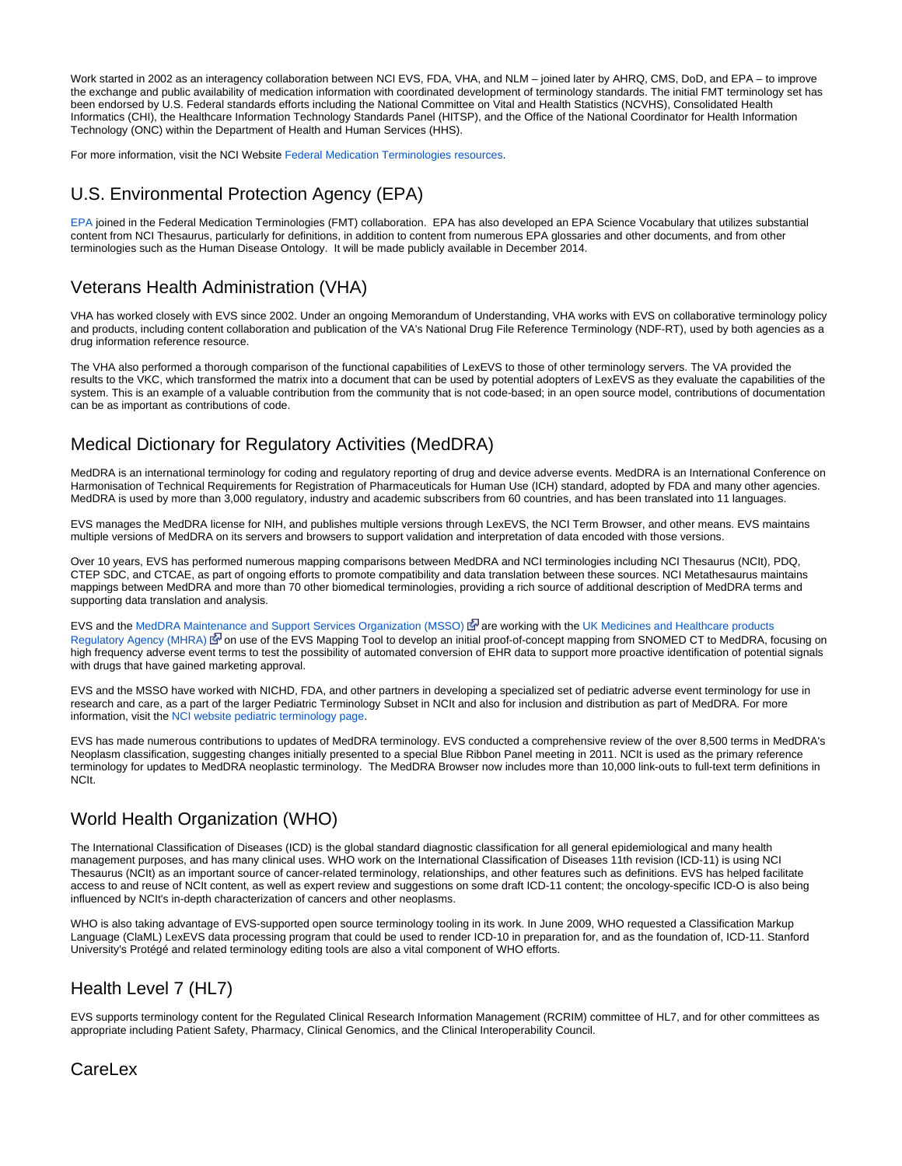Work started in 2002 as an interagency collaboration between NCI EVS, FDA, VHA, and NLM – joined later by AHRQ, CMS, DoD, and EPA – to improve the exchange and public availability of medication information with coordinated development of terminology standards. The initial FMT terminology set has been endorsed by U.S. Federal standards efforts including the National Committee on Vital and Health Statistics (NCVHS), Consolidated Health Informatics (CHI), the Healthcare Information Technology Standards Panel (HITSP), and the Office of the National Coordinator for Health Information Technology (ONC) within the Department of Health and Human Services (HHS).

For more information, visit the NCI Website [Federal Medication Terminologies resources](http://www.cancer.gov/cancertopics/cancerlibrary/terminologyresources/fmt).

### <span id="page-3-0"></span>U.S. Environmental Protection Agency (EPA)

[EPA](http://www.epa.gov/) joined in the Federal Medication Terminologies (FMT) collaboration. EPA has also developed an EPA Science Vocabulary that utilizes substantial content from NCI Thesaurus, particularly for definitions, in addition to content from numerous EPA glossaries and other documents, and from other terminologies such as the Human Disease Ontology. It will be made publicly available in December 2014.

### <span id="page-3-1"></span>Veterans Health Administration (VHA)

VHA has worked closely with EVS since 2002. Under an ongoing Memorandum of Understanding, VHA works with EVS on collaborative terminology policy and products, including content collaboration and publication of the VA's National Drug File Reference Terminology (NDF-RT), used by both agencies as a drug information reference resource.

The VHA also performed a thorough comparison of the functional capabilities of LexEVS to those of other terminology servers. The VA provided the results to the VKC, which transformed the matrix into a document that can be used by potential adopters of LexEVS as they evaluate the capabilities of the system. This is an example of a valuable contribution from the community that is not code-based; in an open source model, contributions of documentation can be as important as contributions of code.

# <span id="page-3-2"></span>Medical Dictionary for Regulatory Activities (MedDRA)

MedDRA is an international terminology for coding and regulatory reporting of drug and device adverse events. MedDRA is an International Conference on Harmonisation of Technical Requirements for Registration of Pharmaceuticals for Human Use (ICH) standard, adopted by FDA and many other agencies. MedDRA is used by more than 3,000 regulatory, industry and academic subscribers from 60 countries, and has been translated into 11 languages.

EVS manages the MedDRA license for NIH, and publishes multiple versions through LexEVS, the NCI Term Browser, and other means. EVS maintains multiple versions of MedDRA on its servers and browsers to support validation and interpretation of data encoded with those versions.

Over 10 years, EVS has performed numerous mapping comparisons between MedDRA and NCI terminologies including NCI Thesaurus (NCIt), PDQ, CTEP SDC, and CTCAE, as part of ongoing efforts to promote compatibility and data translation between these sources. NCI Metathesaurus maintains mappings between MedDRA and more than 70 other biomedical terminologies, providing a rich source of additional description of MedDRA terms and supporting data translation and analysis.

EVS and the [MedDRA Maintenance and Support Services Organization \(MSSO\)](http://www.meddramsso.com/)  $\bar{F}$  $\bar{F}$  $\bar{F}$  are working with the UK Medicines and Healthcare products [Regulatory Agency \(MHRA\)](http://www.mhra.gov.uk/) and use of the EVS Mapping Tool to develop an initial proof-of-concept mapping from SNOMED CT to MedDRA, focusing on high frequency adverse event terms to test the possibility of automated conversion of EHR data to support more proactive identification of potential signals with drugs that have gained marketing approval.

EVS and the MSSO have worked with NICHD, FDA, and other partners in developing a specialized set of pediatric adverse event terminology for use in research and care, as a part of the larger Pediatric Terminology Subset in NCIt and also for inclusion and distribution as part of MedDRA. For more information, visit the [NCI website pediatric terminology page](http://www.cancer.gov/cancertopics/cancerlibrary/terminologyresources/pediatric).

EVS has made numerous contributions to updates of MedDRA terminology. EVS conducted a comprehensive review of the over 8,500 terms in MedDRA's Neoplasm classification, suggesting changes initially presented to a special Blue Ribbon Panel meeting in 2011. NCIt is used as the primary reference terminology for updates to MedDRA neoplastic terminology. The MedDRA Browser now includes more than 10,000 link-outs to full-text term definitions in NCIt.

## <span id="page-3-3"></span>World Health Organization (WHO)

The International Classification of Diseases (ICD) is the global standard diagnostic classification for all general epidemiological and many health management purposes, and has many clinical uses. WHO work on the International Classification of Diseases 11th revision (ICD-11) is using NCI Thesaurus (NCIt) as an important source of cancer-related terminology, relationships, and other features such as definitions. EVS has helped facilitate access to and reuse of NCIt content, as well as expert review and suggestions on some draft ICD-11 content; the oncology-specific ICD-O is also being influenced by NCIt's in-depth characterization of cancers and other neoplasms.

WHO is also taking advantage of EVS-supported open source terminology tooling in its work. In June 2009, WHO requested a Classification Markup Language (ClaML) LexEVS data processing program that could be used to render ICD-10 in preparation for, and as the foundation of, ICD-11. Stanford University's Protégé and related terminology editing tools are also a vital component of WHO efforts.

## <span id="page-3-4"></span>Health Level 7 (HL7)

EVS supports terminology content for the Regulated Clinical Research Information Management (RCRIM) committee of HL7, and for other committees as appropriate including Patient Safety, Pharmacy, Clinical Genomics, and the Clinical Interoperability Council.

### <span id="page-3-5"></span>**CareLex**